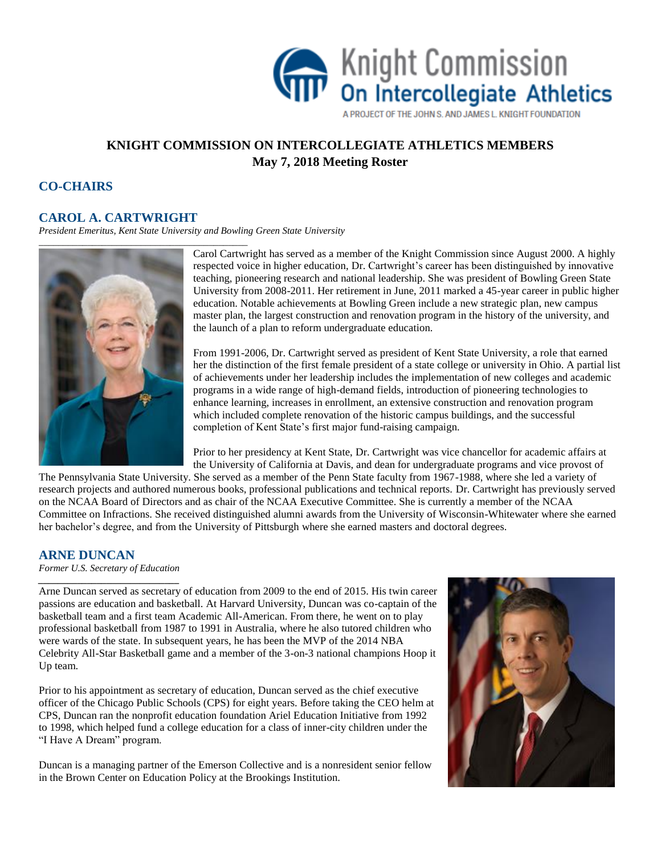

A PROJECT OF THE JOHN S. AND JAMES L. KNIGHT FOUNDATION

# **KNIGHT COMMISSION ON INTERCOLLEGIATE ATHLETICS MEMBERS May 7, 2018 Meeting Roster**

# **CO-CHAIRS**

### **CAROL A. CARTWRIGHT**

*President Emeritus, Kent State University and Bowling Green State University*



Carol Cartwright has served as a member of the Knight Commission since August 2000. A highly respected voice in higher education, Dr. Cartwright's career has been distinguished by innovative teaching, pioneering research and national leadership. She was president of Bowling Green State University from 2008-2011. Her retirement in June, 2011 marked a 45-year career in public higher education. Notable achievements at Bowling Green include a new strategic plan, new campus master plan, the largest construction and renovation program in the history of the university, and the launch of a plan to reform undergraduate education.

From 1991-2006, Dr. Cartwright served as president of Kent State University, a role that earned her the distinction of the first female president of a state college or university in Ohio. A partial list of achievements under her leadership includes the implementation of new colleges and academic programs in a wide range of high-demand fields, introduction of pioneering technologies to enhance learning, increases in enrollment, an extensive construction and renovation program which included complete renovation of the historic campus buildings, and the successful completion of Kent State's first major fund-raising campaign.

Prior to her presidency at Kent State, Dr. Cartwright was vice chancellor for academic affairs at the University of California at Davis, and dean for undergraduate programs and vice provost of

The Pennsylvania State University. She served as a member of the Penn State faculty from 1967-1988, where she led a variety of research projects and authored numerous books, professional publications and technical reports. Dr. Cartwright has previously served on the NCAA Board of Directors and as chair of the NCAA Executive Committee. She is currently a member of the NCAA Committee on Infractions. She received distinguished alumni awards from the University of Wisconsin-Whitewater where she earned her bachelor's degree, and from the University of Pittsburgh where she earned masters and doctoral degrees.

### **ARNE DUNCAN**

*Former U.S. Secretary of Education \_\_\_\_\_\_\_\_\_\_\_\_\_\_\_\_\_\_\_\_\_\_\_\_\_\_\_\_\_*

Arne Duncan served as secretary of education from 2009 to the end of 2015. His twin career passions are education and basketball. At Harvard University, Duncan was co-captain of the basketball team and a first team Academic All-American. From there, he went on to play professional basketball from 1987 to 1991 in Australia, where he also tutored children who were wards of the state. In subsequent years, he has been the MVP of the 2014 NBA Celebrity All-Star Basketball game and a member of the 3-on-3 national champions Hoop it Up team.

Prior to his appointment as secretary of education, Duncan served as the chief executive officer of the Chicago Public Schools (CPS) for eight years. Before taking the CEO helm at CPS, Duncan ran the nonprofit education foundation Ariel Education Initiative from 1992 to 1998, which helped fund a college education for a class of inner-city children under the "I Have A Dream" program.

Duncan is a managing partner of the Emerson Collective and is a nonresident senior fellow in the Brown Center on Education Policy at the Brookings Institution.